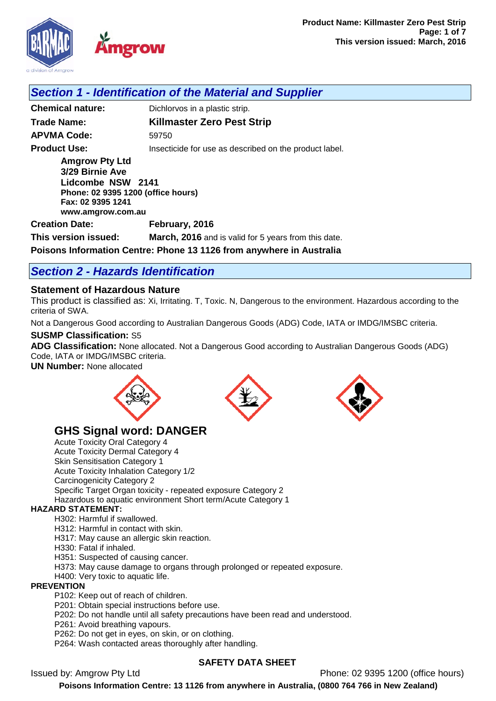

# *Section 1 - Identification of the Material and Supplier*

**Chemical nature:** Dichlorvos in a plastic strip. **Trade Name: Killmaster Zero Pest Strip APVMA Code:** 59750 **Product Use: Insecticide for use as described on the product label. Amgrow Pty Ltd 3/29 Birnie Ave Lidcombe NSW 2141 Phone: 02 9395 1200 (office hours) Fax: 02 9395 1241 www.amgrow.com.au Creation Date: February, 2016 This version issued: March, 2016** and is valid for 5 years from this date.

**Poisons Information Centre: Phone 13 1126 from anywhere in Australia**

# *Section 2 - Hazards Identification*

## **Statement of Hazardous Nature**

This product is classified as: Xi, Irritating. T, Toxic. N, Dangerous to the environment. Hazardous according to the criteria of SWA.

Not a Dangerous Good according to Australian Dangerous Goods (ADG) Code, IATA or IMDG/IMSBC criteria.

#### **SUSMP Classification:** S5

**ADG Classification:** None allocated. Not a Dangerous Good according to Australian Dangerous Goods (ADG) Code, IATA or IMDG/IMSBC criteria.

**UN Number:** None allocated







# **GHS Signal word: DANGER**

Acute Toxicity Oral Category 4 Acute Toxicity Dermal Category 4 Skin Sensitisation Category 1 Acute Toxicity Inhalation Category 1/2 Carcinogenicity Category 2 Specific Target Organ toxicity - repeated exposure Category 2 Hazardous to aquatic environment Short term/Acute Category 1

#### **HAZARD STATEMENT:**

H302: Harmful if swallowed.

H312: Harmful in contact with skin.

- H317: May cause an allergic skin reaction.
- H330: Fatal if inhaled.

H351: Suspected of causing cancer.

H373: May cause damage to organs through prolonged or repeated exposure.

H400: Very toxic to aquatic life.

#### **PREVENTION**

P102: Keep out of reach of children.

P201: Obtain special instructions before use.

- P202: Do not handle until all safety precautions have been read and understood.
- P261: Avoid breathing vapours.

P262: Do not get in eyes, on skin, or on clothing.

P264: Wash contacted areas thoroughly after handling.

## **SAFETY DATA SHEET**

Issued by: Amgrow Pty Ltd Phone: 02 9395 1200 (office hours)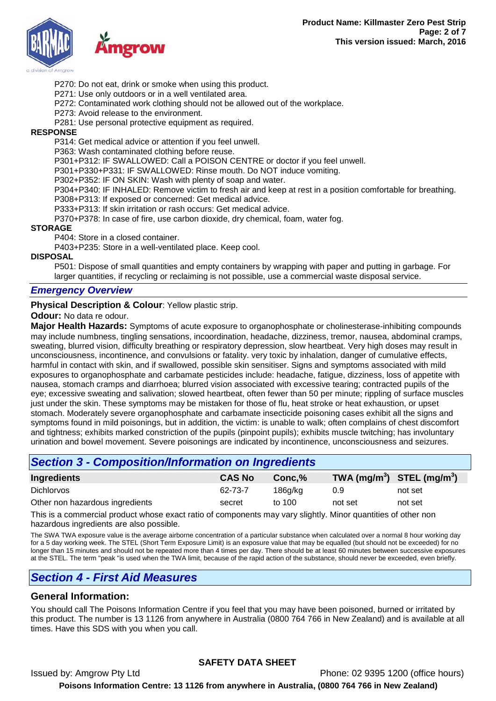

P270: Do not eat, drink or smoke when using this product.

P271: Use only outdoors or in a well ventilated area.

P272: Contaminated work clothing should not be allowed out of the workplace.

P273: Avoid release to the environment.

P281: Use personal protective equipment as required.

## **RESPONSE**

P314: Get medical advice or attention if you feel unwell.

P363: Wash contaminated clothing before reuse.

P301+P312: IF SWALLOWED: Call a POISON CENTRE or doctor if you feel unwell.

P301+P330+P331: IF SWALLOWED: Rinse mouth. Do NOT induce vomiting.

P302+P352: IF ON SKIN: Wash with plenty of soap and water.

P304+P340: IF INHALED: Remove victim to fresh air and keep at rest in a position comfortable for breathing. P308+P313: If exposed or concerned: Get medical advice.

P333+P313: If skin irritation or rash occurs: Get medical advice.

P370+P378: In case of fire, use carbon dioxide, dry chemical, foam, water fog.

#### **STORAGE**

P404: Store in a closed container.

P403+P235: Store in a well-ventilated place. Keep cool.

#### **DISPOSAL**

P501: Dispose of small quantities and empty containers by wrapping with paper and putting in garbage. For larger quantities, if recycling or reclaiming is not possible, use a commercial waste disposal service.

## *Emergency Overview*

**Physical Description & Colour: Yellow plastic strip.** 

**Odour:** No data re odour.

**Major Health Hazards:** Symptoms of acute exposure to organophosphate or cholinesterase-inhibiting compounds may include numbness, tingling sensations, incoordination, headache, dizziness, tremor, nausea, abdominal cramps, sweating, blurred vision, difficulty breathing or respiratory depression, slow heartbeat. Very high doses may result in unconsciousness, incontinence, and convulsions or fatality. very toxic by inhalation, danger of cumulative effects, harmful in contact with skin, and if swallowed, possible skin sensitiser. Signs and symptoms associated with mild exposures to organophosphate and carbamate pesticides include: headache, fatigue, dizziness, loss of appetite with nausea, stomach cramps and diarrhoea; blurred vision associated with excessive tearing; contracted pupils of the eye; excessive sweating and salivation; slowed heartbeat, often fewer than 50 per minute; rippling of surface muscles just under the skin. These symptoms may be mistaken for those of flu, heat stroke or heat exhaustion, or upset stomach. Moderately severe organophosphate and carbamate insecticide poisoning cases exhibit all the signs and symptoms found in mild poisonings, but in addition, the victim: is unable to walk; often complains of chest discomfort and tightness; exhibits marked constriction of the pupils (pinpoint pupils); exhibits muscle twitching; has involuntary urination and bowel movement. Severe poisonings are indicated by incontinence, unconsciousness and seizures.

# *Section 3 - Composition/Information on Ingredients*

| Ingredients                     | <b>CAS No</b> | Conc.%  | TWA $(mg/m^3)$ STEL $(mg/m^3)$ |         |
|---------------------------------|---------------|---------|--------------------------------|---------|
| <b>Dichlorvos</b>               | 62-73-7       | 186q/kg | 0.9                            | not set |
| Other non hazardous ingredients | secret        | to 100  | not set                        | not set |
| _____                           |               | .       |                                |         |

This is a commercial product whose exact ratio of components may vary slightly. Minor quantities of other non hazardous ingredients are also possible.

The SWA TWA exposure value is the average airborne concentration of a particular substance when calculated over a normal 8 hour working day for a 5 day working week. The STEL (Short Term Exposure Limit) is an exposure value that may be equalled (but should not be exceeded) for no longer than 15 minutes and should not be repeated more than 4 times per day. There should be at least 60 minutes between successive exposures at the STEL. The term "peak "is used when the TWA limit, because of the rapid action of the substance, should never be exceeded, even briefly.

## *Section 4 - First Aid Measures*

## **General Information:**

You should call The Poisons Information Centre if you feel that you may have been poisoned, burned or irritated by this product. The number is 13 1126 from anywhere in Australia (0800 764 766 in New Zealand) and is available at all times. Have this SDS with you when you call.

## **SAFETY DATA SHEET**

Issued by: Amgrow Pty Ltd Phone: 02 9395 1200 (office hours) **Poisons Information Centre: 13 1126 from anywhere in Australia, (0800 764 766 in New Zealand)**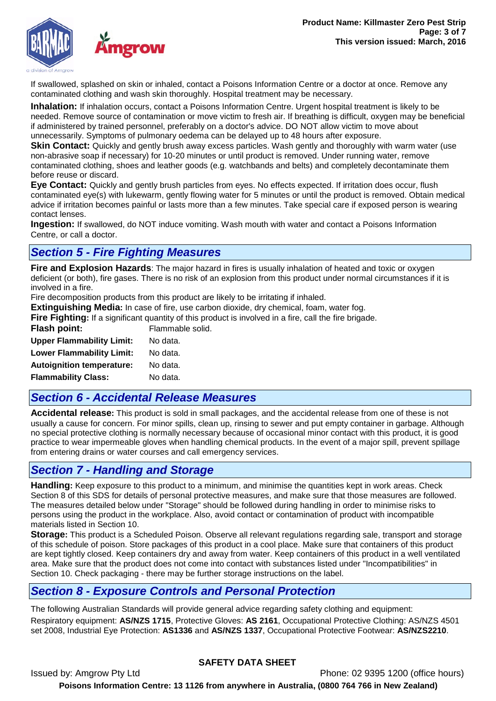

If swallowed, splashed on skin or inhaled, contact a Poisons Information Centre or a doctor at once. Remove any contaminated clothing and wash skin thoroughly. Hospital treatment may be necessary.

**Inhalation:** If inhalation occurs, contact a Poisons Information Centre. Urgent hospital treatment is likely to be needed. Remove source of contamination or move victim to fresh air. If breathing is difficult, oxygen may be beneficial if administered by trained personnel, preferably on a doctor's advice. DO NOT allow victim to move about unnecessarily. Symptoms of pulmonary oedema can be delayed up to 48 hours after exposure.

**Skin Contact:** Quickly and gently brush away excess particles. Wash gently and thoroughly with warm water (use non-abrasive soap if necessary) for 10-20 minutes or until product is removed. Under running water, remove contaminated clothing, shoes and leather goods (e.g. watchbands and belts) and completely decontaminate them before reuse or discard.

**Eye Contact:** Quickly and gently brush particles from eyes. No effects expected. If irritation does occur, flush contaminated eye(s) with lukewarm, gently flowing water for 5 minutes or until the product is removed. Obtain medical advice if irritation becomes painful or lasts more than a few minutes. Take special care if exposed person is wearing contact lenses.

**Ingestion:** If swallowed, do NOT induce vomiting. Wash mouth with water and contact a Poisons Information Centre, or call a doctor.

# *Section 5 - Fire Fighting Measures*

**Fire and Explosion Hazards**: The major hazard in fires is usually inhalation of heated and toxic or oxygen deficient (or both), fire gases. There is no risk of an explosion from this product under normal circumstances if it is involved in a fire.

Fire decomposition products from this product are likely to be irritating if inhaled.

**Extinguishing Media:** In case of fire, use carbon dioxide, dry chemical, foam, water fog.

**Fire Fighting:** If a significant quantity of this product is involved in a fire, call the fire brigade.<br>**Flash noint:** Flammable solid **Flash point:** Flammable solid.

| . ונוטען ווטאו ו                 | l lalllllavi <del>c</del> |
|----------------------------------|---------------------------|
| <b>Upper Flammability Limit:</b> | No data.                  |
| <b>Lower Flammability Limit:</b> | No data.                  |
| <b>Autoignition temperature:</b> | No data.                  |
| <b>Flammability Class:</b>       | No data.                  |

# *Section 6 - Accidental Release Measures*

**Accidental release:** This product is sold in small packages, and the accidental release from one of these is not usually a cause for concern. For minor spills, clean up, rinsing to sewer and put empty container in garbage. Although no special protective clothing is normally necessary because of occasional minor contact with this product, it is good practice to wear impermeable gloves when handling chemical products. In the event of a major spill, prevent spillage from entering drains or water courses and call emergency services.

# *Section 7 - Handling and Storage*

**Handling:** Keep exposure to this product to a minimum, and minimise the quantities kept in work areas. Check Section 8 of this SDS for details of personal protective measures, and make sure that those measures are followed. The measures detailed below under "Storage" should be followed during handling in order to minimise risks to persons using the product in the workplace. Also, avoid contact or contamination of product with incompatible materials listed in Section 10.

**Storage:** This product is a Scheduled Poison. Observe all relevant regulations regarding sale, transport and storage of this schedule of poison. Store packages of this product in a cool place. Make sure that containers of this product are kept tightly closed. Keep containers dry and away from water. Keep containers of this product in a well ventilated area. Make sure that the product does not come into contact with substances listed under "Incompatibilities" in Section 10. Check packaging - there may be further storage instructions on the label.

# *Section 8 - Exposure Controls and Personal Protection*

The following Australian Standards will provide general advice regarding safety clothing and equipment: Respiratory equipment: **AS/NZS 1715**, Protective Gloves: **AS 2161**, Occupational Protective Clothing: AS/NZS 4501 set 2008, Industrial Eye Protection: **AS1336** and **AS/NZS 1337**, Occupational Protective Footwear: **AS/NZS2210**.

## **SAFETY DATA SHEET**

Issued by: Amgrow Pty Ltd Phone: 02 9395 1200 (office hours) **Poisons Information Centre: 13 1126 from anywhere in Australia, (0800 764 766 in New Zealand)**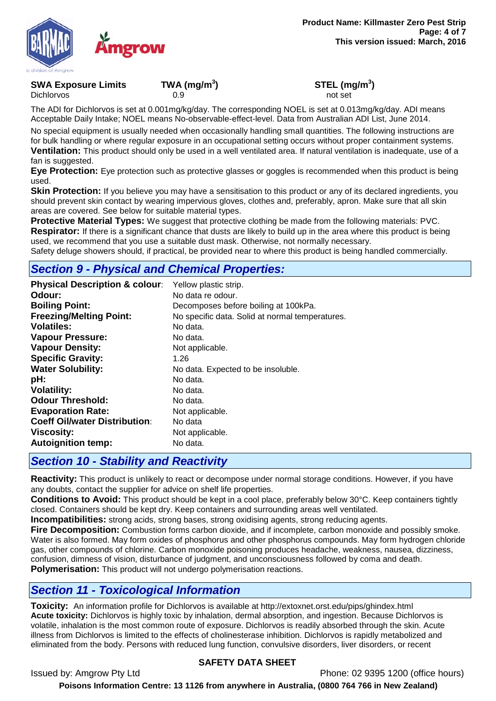

**SWA Exposure Limits TWA (mg/m<sup>3</sup>** Dichlorvos 0.9 not set

**) STEL (mg/m<sup>3</sup> )**

The ADI for Dichlorvos is set at 0.001mg/kg/day. The corresponding NOEL is set at 0.013mg/kg/day. ADI means Acceptable Daily Intake; NOEL means No-observable-effect-level. Data from Australian ADI List, June 2014.

No special equipment is usually needed when occasionally handling small quantities. The following instructions are for bulk handling or where regular exposure in an occupational setting occurs without proper containment systems. **Ventilation:** This product should only be used in a well ventilated area. If natural ventilation is inadequate, use of a

fan is suggested.

**Eye Protection:** Eye protection such as protective glasses or goggles is recommended when this product is being used.

**Skin Protection:** If you believe you may have a sensitisation to this product or any of its declared ingredients, you should prevent skin contact by wearing impervious gloves, clothes and, preferably, apron. Make sure that all skin areas are covered. See below for suitable material types.

**Protective Material Types:** We suggest that protective clothing be made from the following materials: PVC. **Respirator:** If there is a significant chance that dusts are likely to build up in the area where this product is being used, we recommend that you use a suitable dust mask. Otherwise, not normally necessary.

Safety deluge showers should, if practical, be provided near to where this product is being handled commercially.

# *Section 9 - Physical and Chemical Properties:*

| <b>Physical Description &amp; colour:</b> | Yellow plastic strip.                           |
|-------------------------------------------|-------------------------------------------------|
| Odour:                                    | No data re odour.                               |
| <b>Boiling Point:</b>                     | Decomposes before boiling at 100kPa.            |
| <b>Freezing/Melting Point:</b>            | No specific data. Solid at normal temperatures. |
| <b>Volatiles:</b>                         | No data.                                        |
| <b>Vapour Pressure:</b>                   | No data.                                        |
| <b>Vapour Density:</b>                    | Not applicable.                                 |
| <b>Specific Gravity:</b>                  | 1.26                                            |
| <b>Water Solubility:</b>                  | No data. Expected to be insoluble.              |
| pH:                                       | No data.                                        |
| <b>Volatility:</b>                        | No data.                                        |
| <b>Odour Threshold:</b>                   | No data.                                        |
| <b>Evaporation Rate:</b>                  | Not applicable.                                 |
| <b>Coeff Oil/water Distribution:</b>      | No data                                         |
| <b>Viscosity:</b>                         | Not applicable.                                 |
| <b>Autoignition temp:</b>                 | No data.                                        |

# *Section 10 - Stability and Reactivity*

**Reactivity:** This product is unlikely to react or decompose under normal storage conditions. However, if you have any doubts, contact the supplier for advice on shelf life properties.

**Conditions to Avoid:** This product should be kept in a cool place, preferably below 30°C. Keep containers tightly closed. Containers should be kept dry. Keep containers and surrounding areas well ventilated.

**Incompatibilities:** strong acids, strong bases, strong oxidising agents, strong reducing agents.

**Fire Decomposition:** Combustion forms carbon dioxide, and if incomplete, carbon monoxide and possibly smoke. Water is also formed. May form oxides of phosphorus and other phosphorus compounds. May form hydrogen chloride gas, other compounds of chlorine. Carbon monoxide poisoning produces headache, weakness, nausea, dizziness, confusion, dimness of vision, disturbance of judgment, and unconsciousness followed by coma and death. **Polymerisation:** This product will not undergo polymerisation reactions.

# *Section 11 - Toxicological Information*

**Toxicity:** An information profile for Dichlorvos is available at http://extoxnet.orst.edu/pips/ghindex.html **Acute toxicity:** Dichlorvos is highly toxic by inhalation, dermal absorption, and ingestion. Because Dichlorvos is volatile, inhalation is the most common route of exposure. Dichlorvos is readily absorbed through the skin. Acute illness from Dichlorvos is limited to the effects of cholinesterase inhibition. Dichlorvos is rapidly metabolized and eliminated from the body. Persons with reduced lung function, convulsive disorders, liver disorders, or recent

## **SAFETY DATA SHEET**

Issued by: Amgrow Pty Ltd Phone: 02 9395 1200 (office hours)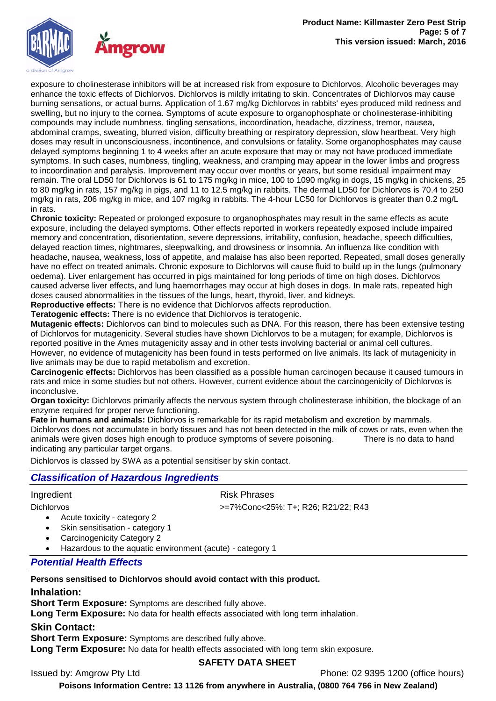

exposure to cholinesterase inhibitors will be at increased risk from exposure to Dichlorvos. Alcoholic beverages may enhance the toxic effects of Dichlorvos. Dichlorvos is mildly irritating to skin. Concentrates of Dichlorvos may cause burning sensations, or actual burns. Application of 1.67 mg/kg Dichlorvos in rabbits' eyes produced mild redness and swelling, but no injury to the cornea. Symptoms of acute exposure to organophosphate or cholinesterase-inhibiting compounds may include numbness, tingling sensations, incoordination, headache, dizziness, tremor, nausea, abdominal cramps, sweating, blurred vision, difficulty breathing or respiratory depression, slow heartbeat. Very high doses may result in unconsciousness, incontinence, and convulsions or fatality. Some organophosphates may cause delayed symptoms beginning 1 to 4 weeks after an acute exposure that may or may not have produced immediate symptoms. In such cases, numbness, tingling, weakness, and cramping may appear in the lower limbs and progress to incoordination and paralysis. Improvement may occur over months or years, but some residual impairment may remain. The oral LD50 for Dichlorvos is 61 to 175 mg/kg in mice, 100 to 1090 mg/kg in dogs, 15 mg/kg in chickens, 25 to 80 mg/kg in rats, 157 mg/kg in pigs, and 11 to 12.5 mg/kg in rabbits. The dermal LD50 for Dichlorvos is 70.4 to 250 mg/kg in rats, 206 mg/kg in mice, and 107 mg/kg in rabbits. The 4-hour LC50 for Dichlorvos is greater than 0.2 mg/L in rats.

**Chronic toxicity:** Repeated or prolonged exposure to organophosphates may result in the same effects as acute exposure, including the delayed symptoms. Other effects reported in workers repeatedly exposed include impaired memory and concentration, disorientation, severe depressions, irritability, confusion, headache, speech difficulties, delayed reaction times, nightmares, sleepwalking, and drowsiness or insomnia. An influenza like condition with headache, nausea, weakness, loss of appetite, and malaise has also been reported. Repeated, small doses generally have no effect on treated animals. Chronic exposure to Dichlorvos will cause fluid to build up in the lungs (pulmonary oedema). Liver enlargement has occurred in pigs maintained for long periods of time on high doses. Dichlorvos caused adverse liver effects, and lung haemorrhages may occur at high doses in dogs. In male rats, repeated high doses caused abnormalities in the tissues of the lungs, heart, thyroid, liver, and kidneys.

**Reproductive effects:** There is no evidence that Dichlorvos affects reproduction.

**Teratogenic effects:** There is no evidence that Dichlorvos is teratogenic.

**Mutagenic effects:** Dichlorvos can bind to molecules such as DNA. For this reason, there has been extensive testing of Dichlorvos for mutagenicity. Several studies have shown Dichlorvos to be a mutagen; for example, Dichlorvos is reported positive in the Ames mutagenicity assay and in other tests involving bacterial or animal cell cultures. However, no evidence of mutagenicity has been found in tests performed on live animals. Its lack of mutagenicity in live animals may be due to rapid metabolism and excretion.

**Carcinogenic effects:** Dichlorvos has been classified as a possible human carcinogen because it caused tumours in rats and mice in some studies but not others. However, current evidence about the carcinogenicity of Dichlorvos is inconclusive.

**Organ toxicity:** Dichlorvos primarily affects the nervous system through cholinesterase inhibition, the blockage of an enzyme required for proper nerve functioning.

**Fate in humans and animals:** Dichlorvos is remarkable for its rapid metabolism and excretion by mammals. Dichlorvos does not accumulate in body tissues and has not been detected in the milk of cows or rats, even when the animals were given doses high enough to produce symptoms of severe poisoning. There is no data to hand indicating any particular target organs.

Dichlorvos is classed by SWA as a potential sensitiser by skin contact.

## *Classification of Hazardous Ingredients*

#### Ingredient **Risk Phrases**

Dichlorvos >=7%Conc<25%: T+; R26; R21/22; R43

- Acute toxicity category 2
- Skin sensitisation category 1
- Carcinogenicity Category 2
- Hazardous to the aquatic environment (acute) category 1

## *Potential Health Effects*

#### **Persons sensitised to Dichlorvos should avoid contact with this product.**

#### **Inhalation:**

**Short Term Exposure:** Symptoms are described fully above.

**Long Term Exposure:** No data for health effects associated with long term inhalation.

**Skin Contact:**

**Short Term Exposure:** Symptoms are described fully above.

**Long Term Exposure:** No data for health effects associated with long term skin exposure.

## **SAFETY DATA SHEET**

Issued by: Amgrow Pty Ltd Phone: 02 9395 1200 (office hours)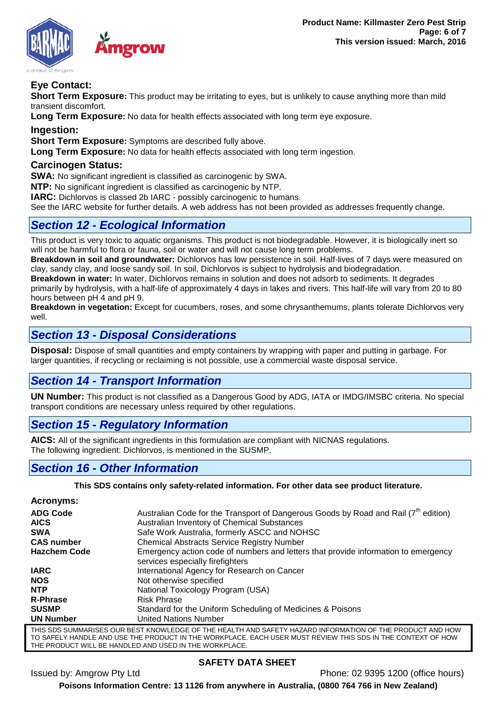

# **Eye Contact:**

**Short Term Exposure:** This product may be irritating to eyes, but is unlikely to cause anything more than mild transient discomfort.

**Long Term Exposure:** No data for health effects associated with long term eye exposure.

**Ingestion:**

**Short Term Exposure:** Symptoms are described fully above.

**Long Term Exposure:** No data for health effects associated with long term ingestion.

## **Carcinogen Status:**

**SWA:** No significant ingredient is classified as carcinogenic by SWA.

**NTP:** No significant ingredient is classified as carcinogenic by NTP.

**IARC:** Dichlorvos is classed 2b IARC - possibly carcinogenic to humans.

See the IARC website for further details. A web address has not been provided as addresses frequently change.

# *Section 12 - Ecological Information*

This product is very toxic to aquatic organisms. This product is not biodegradable. However, it is biologically inert so will not be harmful to flora or fauna, soil or water and will not cause long term problems.

**Breakdown in soil and groundwater:** Dichlorvos has low persistence in soil. Half-lives of 7 days were measured on clay, sandy clay, and loose sandy soil. In soil, Dichlorvos is subject to hydrolysis and biodegradation.

**Breakdown in water:** In water, Dichlorvos remains in solution and does not adsorb to sediments. It degrades primarily by hydrolysis, with a half-life of approximately 4 days in lakes and rivers. This half-life will vary from 20 to 80 hours between pH 4 and pH 9.

**Breakdown in vegetation:** Except for cucumbers, roses, and some chrysanthemums, plants tolerate Dichlorvos very well.

# *Section 13 - Disposal Considerations*

**Disposal:** Dispose of small quantities and empty containers by wrapping with paper and putting in garbage. For larger quantities, if recycling or reclaiming is not possible, use a commercial waste disposal service.

## *Section 14 - Transport Information*

**UN Number:** This product is not classified as a Dangerous Good by ADG, IATA or IMDG/IMSBC criteria. No special transport conditions are necessary unless required by other regulations.

## *Section 15 - Regulatory Information*

**AICS:** All of the significant ingredients in this formulation are compliant with NICNAS regulations. The following ingredient: Dichlorvos, is mentioned in the SUSMP.

## *Section 16 - Other Information*

#### **This SDS contains only safety-related information. For other data see product literature.**

| <b>Acronyms:</b>    |                                                                                                                        |
|---------------------|------------------------------------------------------------------------------------------------------------------------|
| <b>ADG Code</b>     | Australian Code for the Transport of Dangerous Goods by Road and Rail $(7^{in}$ edition)                               |
| <b>AICS</b>         | Australian Inventory of Chemical Substances                                                                            |
| <b>SWA</b>          | Safe Work Australia, formerly ASCC and NOHSC                                                                           |
| <b>CAS number</b>   | <b>Chemical Abstracts Service Registry Number</b>                                                                      |
| <b>Hazchem Code</b> | Emergency action code of numbers and letters that provide information to emergency<br>services especially firefighters |
| <b>IARC</b>         | International Agency for Research on Cancer                                                                            |
| <b>NOS</b>          | Not otherwise specified                                                                                                |
| <b>NTP</b>          | National Toxicology Program (USA)                                                                                      |
| <b>R-Phrase</b>     | <b>Risk Phrase</b>                                                                                                     |
| <b>SUSMP</b>        | Standard for the Uniform Scheduling of Medicines & Poisons                                                             |
| <b>UN Number</b>    | <b>United Nations Number</b>                                                                                           |
|                     | THIS SDS SHIMMARISES OHR REST KNOWLEDGE OF THE HEALTH AND SAFETY HAZARD INFORMATION OF THE RRODHOT AND HOW             |

THIS SDS SUMMARISES OUR BEST KNOWLEDGE OF THE HEALTH AND SAFETY HAZARD INFORMATION OF THE PRODUCT AND HOW TO SAFELY HANDLE AND USE THE PRODUCT IN THE WORKPLACE. EACH USER MUST REVIEW THIS SDS IN THE CONTEXT OF HOW THE PRODUCT WILL BE HANDLED AND USED IN THE WORKPLACE.

## **SAFETY DATA SHEET**

Issued by: Amgrow Pty Ltd Phone: 02 9395 1200 (office hours)